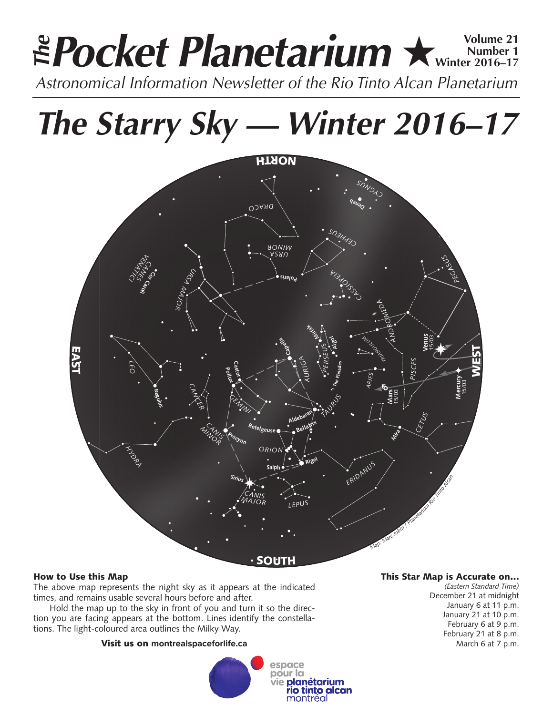## **Pocket Planetarium ★ Winter 2016-17 Number 1 Winter 2016–17** *Astronomical Information Newsletter of the Rio Tinto Alcan Planetarium The*

*The Starry Sky — Winter 2016–17*



## How to Use this Map

The above map represents the night sky as it appears at the indicated times, and remains usable several hours before and after.

Hold the map up to the sky in front of you and turn it so the direction you are facing appears at the bottom. Lines identify the constellations. The light-coloured area outlines the Milky Way.

## Visit us on **montrealspaceforlife.ca**



## This Star Map is Accurate on…

*(Eastern Standard Time)* December 21 at midnight January 6 at 11 p.m. January 21 at 10 p.m. February 6 at 9 p.m. February 21 at 8 p.m. March 6 at 7 p.m.